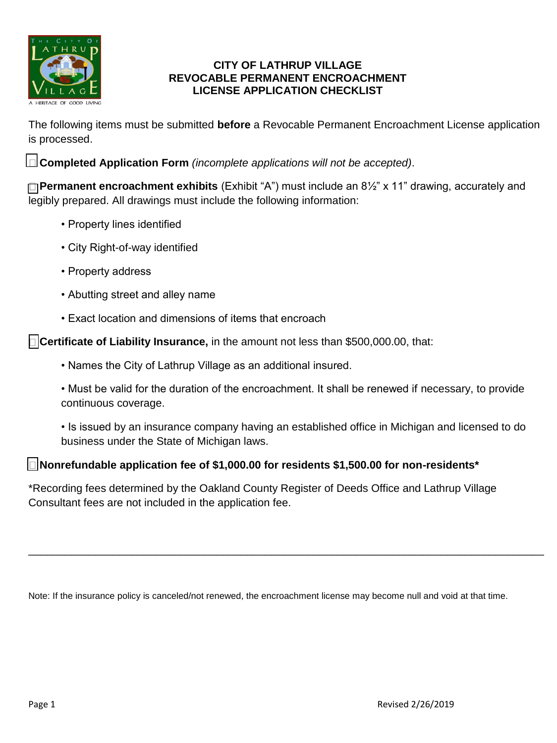

#### **CITY OF LATHRUP VILLAGE REVOCABLE PERMANENT ENCROACHMENT LICENSE APPLICATION CHECKLIST**

The following items must be submitted **before** a Revocable Permanent Encroachment License application is processed.

**Completed Application Form** *(incomplete applications will not be accepted)*.

**Permanent encroachment exhibits** (Exhibit "A") must include an 8½" x 11" drawing, accurately and legibly prepared. All drawings must include the following information:

- Property lines identified
- City Right-of-way identified
- Property address
- Abutting street and alley name
- Exact location and dimensions of items that encroach

**Certificate of Liability Insurance,** in the amount not less than \$500,000.00, that:

- Names the City of Lathrup Village as an additional insured.
- Must be valid for the duration of the encroachment. It shall be renewed if necessary, to provide continuous coverage.
- Is issued by an insurance company having an established office in Michigan and licensed to do business under the State of Michigan laws.

## **Nonrefundable application fee of \$1,000.00 for residents \$1,500.00 for non-residents\***

\*Recording fees determined by the Oakland County Register of Deeds Office and Lathrup Village Consultant fees are not included in the application fee.

Note: If the insurance policy is canceled/not renewed, the encroachment license may become null and void at that time.

\_\_\_\_\_\_\_\_\_\_\_\_\_\_\_\_\_\_\_\_\_\_\_\_\_\_\_\_\_\_\_\_\_\_\_\_\_\_\_\_\_\_\_\_\_\_\_\_\_\_\_\_\_\_\_\_\_\_\_\_\_\_\_\_\_\_\_\_\_\_\_\_\_\_\_\_\_\_\_\_\_\_\_\_\_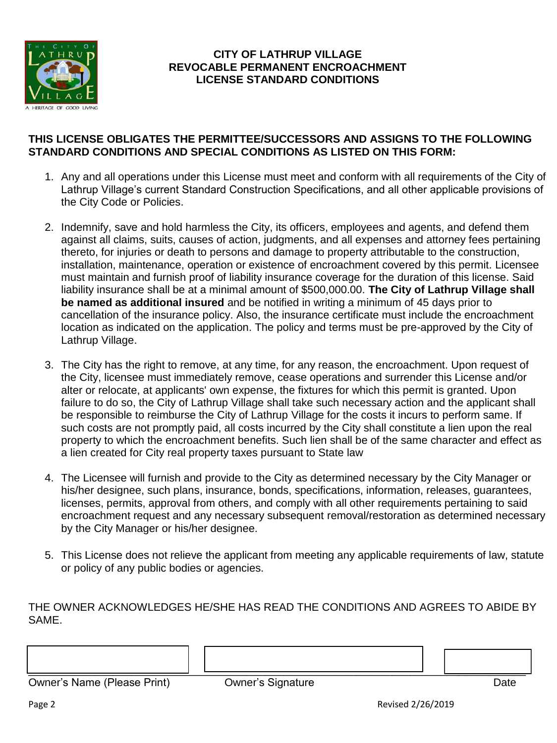

### **CITY OF LATHRUP VILLAGE REVOCABLE PERMANENT ENCROACHMENT LICENSE STANDARD CONDITIONS**

#### **THIS LICENSE OBLIGATES THE PERMITTEE/SUCCESSORS AND ASSIGNS TO THE FOLLOWING STANDARD CONDITIONS AND SPECIAL CONDITIONS AS LISTED ON THIS FORM:**

- 1. Any and all operations under this License must meet and conform with all requirements of the City of Lathrup Village's current Standard Construction Specifications, and all other applicable provisions of the City Code or Policies.
- 2. Indemnify, save and hold harmless the City, its officers, employees and agents, and defend them against all claims, suits, causes of action, judgments, and all expenses and attorney fees pertaining thereto, for injuries or death to persons and damage to property attributable to the construction, installation, maintenance, operation or existence of encroachment covered by this permit. Licensee must maintain and furnish proof of liability insurance coverage for the duration of this license. Said liability insurance shall be at a minimal amount of \$500,000.00. **The City of Lathrup Village shall be named as additional insured** and be notified in writing a minimum of 45 days prior to cancellation of the insurance policy. Also, the insurance certificate must include the encroachment location as indicated on the application. The policy and terms must be pre-approved by the City of Lathrup Village.
- 3. The City has the right to remove, at any time, for any reason, the encroachment. Upon request of the City, licensee must immediately remove, cease operations and surrender this License and/or alter or relocate, at applicants' own expense, the fixtures for which this permit is granted. Upon failure to do so, the City of Lathrup Village shall take such necessary action and the applicant shall be responsible to reimburse the City of Lathrup Village for the costs it incurs to perform same. If such costs are not promptly paid, all costs incurred by the City shall constitute a lien upon the real property to which the encroachment benefits. Such lien shall be of the same character and effect as a lien created for City real property taxes pursuant to State law
- 4. The Licensee will furnish and provide to the City as determined necessary by the City Manager or his/her designee, such plans, insurance, bonds, specifications, information, releases, guarantees, licenses, permits, approval from others, and comply with all other requirements pertaining to said encroachment request and any necessary subsequent removal/restoration as determined necessary by the City Manager or his/her designee.
- 5. This License does not relieve the applicant from meeting any applicable requirements of law, statute or policy of any public bodies or agencies.

THE OWNER ACKNOWLEDGES HE/SHE HAS READ THE CONDITIONS AND AGREES TO ABIDE BY SAME.

\_\_\_\_\_\_\_\_\_\_\_\_\_\_\_\_\_\_\_\_\_\_\_\_\_\_\_\_\_\_\_\_\_\_\_\_\_\_\_\_\_\_\_\_\_\_\_\_\_\_\_\_\_\_\_\_\_\_\_\_\_\_\_\_\_\_\_\_\_\_\_\_\_\_\_\_\_\_\_\_\_\_ Owner's Name (Please Print) **Canadian Company** Owner's Signature **Canadian Company Company** Date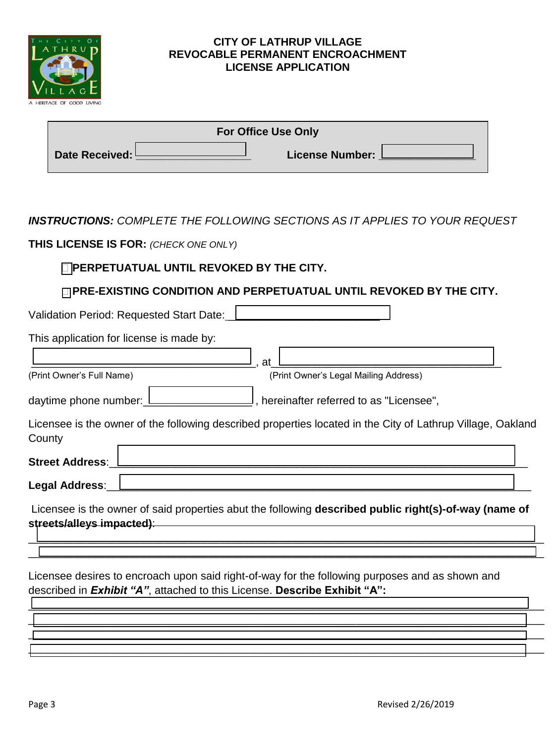

#### **CITY OF LATHRUP VILLAGE REVOCABLE PERMANENT ENCROACHMENT LICENSE APPLICATION**

| <b>For Office Use Only</b> |  |                        |  |  |  |
|----------------------------|--|------------------------|--|--|--|
| Date Received: L           |  | <b>License Number:</b> |  |  |  |

*INSTRUCTIONS: COMPLETE THE FOLLOWING SECTIONS AS IT APPLIES TO YOUR REQUEST* 

**THIS LICENSE IS FOR:** *(CHECK ONE ONLY)*

# **PERPETUATUAL UNTIL REVOKED BY THE CITY.**

## **PRE-EXISTING CONDITION AND PERPETUATUAL UNTIL REVOKED BY THE CITY.**

Validation Period: Requested Start Date:

This application for license is made by:

\_\_\_\_\_\_\_\_\_\_\_\_\_\_\_\_\_\_\_\_\_\_\_\_\_\_\_\_\_\_\_\_\_\_\_\_\_, at\_\_\_\_\_\_\_\_\_\_\_\_\_\_\_\_\_\_\_\_\_\_\_\_\_\_\_\_\_\_\_\_\_\_\_\_\_\_ (Print Owner's Full Name) (Print Owner's Legal Mailing Address)

daytime phone number:\_\_\_\_\_\_\_\_\_\_\_\_\_\_\_\_\_\_ , hereinafter referred to as "Licensee",

Licensee is the owner of the following described properties located in the City of Lathrup Village, Oakland **County** 

Street Address:

Legal Address:

Licensee is the owner of said properties abut the following **described public right(s)-of-way (name of streets/alleys impacted)**:

\_\_\_\_\_\_\_\_\_\_\_\_\_\_\_\_\_\_\_\_\_\_\_\_\_\_\_\_\_\_\_\_\_\_\_\_\_\_\_\_\_\_\_\_\_\_\_\_\_\_\_\_\_\_\_\_\_\_\_\_\_\_\_\_\_\_\_\_\_\_\_\_\_\_\_\_\_\_\_\_\_\_\_\_\_  $\overline{\phantom{a}}$  ,  $\overline{\phantom{a}}$  ,  $\overline{\phantom{a}}$  ,  $\overline{\phantom{a}}$  ,  $\overline{\phantom{a}}$  ,  $\overline{\phantom{a}}$  ,  $\overline{\phantom{a}}$  ,  $\overline{\phantom{a}}$  ,  $\overline{\phantom{a}}$  ,  $\overline{\phantom{a}}$  ,  $\overline{\phantom{a}}$  ,  $\overline{\phantom{a}}$  ,  $\overline{\phantom{a}}$  ,  $\overline{\phantom{a}}$  ,  $\overline{\phantom{a}}$  ,  $\overline{\phantom{a}}$ 

\_\_\_\_\_\_\_\_\_\_\_\_\_\_\_\_\_\_\_\_\_\_\_\_\_\_\_\_\_\_\_\_\_\_\_\_\_\_\_\_\_\_\_\_\_\_\_\_\_\_\_\_\_\_\_\_\_\_\_\_\_\_\_\_\_\_\_\_\_\_\_\_\_\_\_\_\_\_\_\_\_\_\_\_\_  $\frac{1}{\sqrt{2}}$  ,  $\frac{1}{\sqrt{2}}$  ,  $\frac{1}{\sqrt{2}}$  ,  $\frac{1}{\sqrt{2}}$  ,  $\frac{1}{\sqrt{2}}$  ,  $\frac{1}{\sqrt{2}}$  ,  $\frac{1}{\sqrt{2}}$  ,  $\frac{1}{\sqrt{2}}$  ,  $\frac{1}{\sqrt{2}}$  ,  $\frac{1}{\sqrt{2}}$  ,  $\frac{1}{\sqrt{2}}$  ,  $\frac{1}{\sqrt{2}}$  ,  $\frac{1}{\sqrt{2}}$  ,  $\frac{1}{\sqrt{2}}$  ,  $\frac{1}{\sqrt{2}}$ \_\_\_\_\_\_\_\_\_\_\_\_\_\_\_\_\_\_\_\_\_\_\_\_\_\_\_\_\_\_\_\_\_\_\_\_\_\_\_\_\_\_\_\_\_\_\_\_\_\_\_\_\_\_\_\_\_\_\_\_\_\_\_\_\_\_\_\_\_\_\_\_\_\_\_\_\_\_\_\_\_\_\_\_\_ \_\_\_\_\_\_\_\_\_\_\_\_\_\_\_\_\_\_\_\_\_\_\_\_\_\_\_\_\_\_\_\_\_\_\_\_\_\_\_\_\_\_\_\_\_\_\_\_\_\_\_\_\_\_\_\_\_\_\_\_\_\_\_\_\_\_\_\_\_\_\_\_\_\_\_\_\_\_\_\_\_\_\_\_\_

Licensee desires to encroach upon said right-of-way for the following purposes and as shown and described in *Exhibit "A"*, attached to this License. **Describe Exhibit "A":**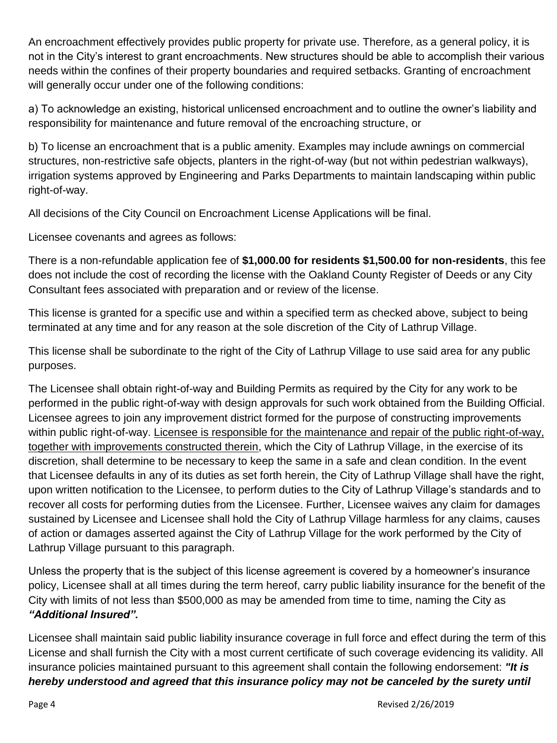An encroachment effectively provides public property for private use. Therefore, as a general policy, it is not in the City's interest to grant encroachments. New structures should be able to accomplish their various needs within the confines of their property boundaries and required setbacks. Granting of encroachment will generally occur under one of the following conditions:

a) To acknowledge an existing, historical unlicensed encroachment and to outline the owner's liability and responsibility for maintenance and future removal of the encroaching structure, or

b) To license an encroachment that is a public amenity. Examples may include awnings on commercial structures, non-restrictive safe objects, planters in the right-of-way (but not within pedestrian walkways), irrigation systems approved by Engineering and Parks Departments to maintain landscaping within public right-of-way.

All decisions of the City Council on Encroachment License Applications will be final.

Licensee covenants and agrees as follows:

There is a non-refundable application fee of **\$1,000.00 for residents \$1,500.00 for non-residents**, this fee does not include the cost of recording the license with the Oakland County Register of Deeds or any City Consultant fees associated with preparation and or review of the license.

This license is granted for a specific use and within a specified term as checked above, subject to being terminated at any time and for any reason at the sole discretion of the City of Lathrup Village.

This license shall be subordinate to the right of the City of Lathrup Village to use said area for any public purposes.

The Licensee shall obtain right-of-way and Building Permits as required by the City for any work to be performed in the public right-of-way with design approvals for such work obtained from the Building Official. Licensee agrees to join any improvement district formed for the purpose of constructing improvements within public right-of-way. Licensee is responsible for the maintenance and repair of the public right-of-way, together with improvements constructed therein, which the City of Lathrup Village, in the exercise of its discretion, shall determine to be necessary to keep the same in a safe and clean condition. In the event that Licensee defaults in any of its duties as set forth herein, the City of Lathrup Village shall have the right, upon written notification to the Licensee, to perform duties to the City of Lathrup Village's standards and to recover all costs for performing duties from the Licensee. Further, Licensee waives any claim for damages sustained by Licensee and Licensee shall hold the City of Lathrup Village harmless for any claims, causes of action or damages asserted against the City of Lathrup Village for the work performed by the City of Lathrup Village pursuant to this paragraph.

Unless the property that is the subject of this license agreement is covered by a homeowner's insurance policy, Licensee shall at all times during the term hereof, carry public liability insurance for the benefit of the City with limits of not less than \$500,000 as may be amended from time to time, naming the City as *"Additional Insured".* 

Licensee shall maintain said public liability insurance coverage in full force and effect during the term of this License and shall furnish the City with a most current certificate of such coverage evidencing its validity. All insurance policies maintained pursuant to this agreement shall contain the following endorsement: *"It is hereby understood and agreed that this insurance policy may not be canceled by the surety until*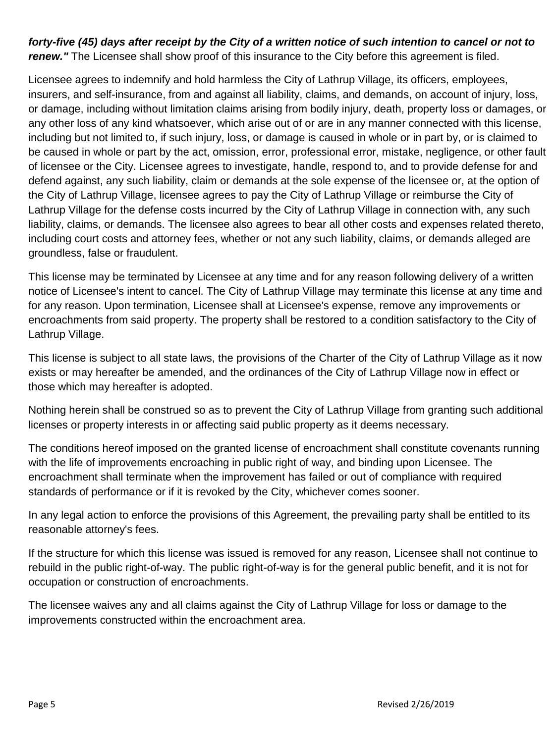# *forty-five (45) days after receipt by the City of a written notice of such intention to cancel or not to*  **renew.**" The Licensee shall show proof of this insurance to the City before this agreement is filed.

Licensee agrees to indemnify and hold harmless the City of Lathrup Village, its officers, employees, insurers, and self-insurance, from and against all liability, claims, and demands, on account of injury, loss, or damage, including without limitation claims arising from bodily injury, death, property loss or damages, or any other loss of any kind whatsoever, which arise out of or are in any manner connected with this license, including but not limited to, if such injury, loss, or damage is caused in whole or in part by, or is claimed to be caused in whole or part by the act, omission, error, professional error, mistake, negligence, or other fault of licensee or the City. Licensee agrees to investigate, handle, respond to, and to provide defense for and defend against, any such liability, claim or demands at the sole expense of the licensee or, at the option of the City of Lathrup Village, licensee agrees to pay the City of Lathrup Village or reimburse the City of Lathrup Village for the defense costs incurred by the City of Lathrup Village in connection with, any such liability, claims, or demands. The licensee also agrees to bear all other costs and expenses related thereto, including court costs and attorney fees, whether or not any such liability, claims, or demands alleged are groundless, false or fraudulent.

This license may be terminated by Licensee at any time and for any reason following delivery of a written notice of Licensee's intent to cancel. The City of Lathrup Village may terminate this license at any time and for any reason. Upon termination, Licensee shall at Licensee's expense, remove any improvements or encroachments from said property. The property shall be restored to a condition satisfactory to the City of Lathrup Village.

This license is subject to all state laws, the provisions of the Charter of the City of Lathrup Village as it now exists or may hereafter be amended, and the ordinances of the City of Lathrup Village now in effect or those which may hereafter is adopted.

Nothing herein shall be construed so as to prevent the City of Lathrup Village from granting such additional licenses or property interests in or affecting said public property as it deems necessary.

The conditions hereof imposed on the granted license of encroachment shall constitute covenants running with the life of improvements encroaching in public right of way, and binding upon Licensee. The encroachment shall terminate when the improvement has failed or out of compliance with required standards of performance or if it is revoked by the City, whichever comes sooner.

In any legal action to enforce the provisions of this Agreement, the prevailing party shall be entitled to its reasonable attorney's fees.

If the structure for which this license was issued is removed for any reason, Licensee shall not continue to rebuild in the public right-of-way. The public right-of-way is for the general public benefit, and it is not for occupation or construction of encroachments.

The licensee waives any and all claims against the City of Lathrup Village for loss or damage to the improvements constructed within the encroachment area.